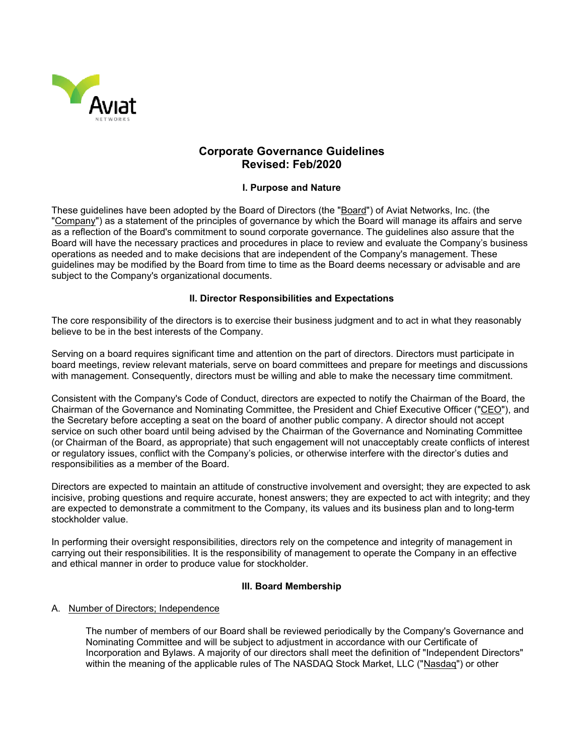

# **Corporate Governance Guidelines Revised: Feb/2020**

# **I. Purpose and Nature**

These guidelines have been adopted by the Board of Directors (the "Board") of Aviat Networks, Inc. (the "Company") as a statement of the principles of governance by which the Board will manage its affairs and serve as a reflection of the Board's commitment to sound corporate governance. The guidelines also assure that the Board will have the necessary practices and procedures in place to review and evaluate the Company's business operations as needed and to make decisions that are independent of the Company's management. These guidelines may be modified by the Board from time to time as the Board deems necessary or advisable and are subject to the Company's organizational documents.

# **II. Director Responsibilities and Expectations**

The core responsibility of the directors is to exercise their business judgment and to act in what they reasonably believe to be in the best interests of the Company.

Serving on a board requires significant time and attention on the part of directors. Directors must participate in board meetings, review relevant materials, serve on board committees and prepare for meetings and discussions with management. Consequently, directors must be willing and able to make the necessary time commitment.

Consistent with the Company's Code of Conduct, directors are expected to notify the Chairman of the Board, the Chairman of the Governance and Nominating Committee, the President and Chief Executive Officer ("CEO"), and the Secretary before accepting a seat on the board of another public company. A director should not accept service on such other board until being advised by the Chairman of the Governance and Nominating Committee (or Chairman of the Board, as appropriate) that such engagement will not unacceptably create conflicts of interest or regulatory issues, conflict with the Company's policies, or otherwise interfere with the director's duties and responsibilities as a member of the Board.

Directors are expected to maintain an attitude of constructive involvement and oversight; they are expected to ask incisive, probing questions and require accurate, honest answers; they are expected to act with integrity; and they are expected to demonstrate a commitment to the Company, its values and its business plan and to long-term stockholder value.

In performing their oversight responsibilities, directors rely on the competence and integrity of management in carrying out their responsibilities. It is the responsibility of management to operate the Company in an effective and ethical manner in order to produce value for stockholder.

### **III. Board Membership**

### A. Number of Directors; Independence

The number of members of our Board shall be reviewed periodically by the Company's Governance and Nominating Committee and will be subject to adjustment in accordance with our Certificate of Incorporation and Bylaws. A majority of our directors shall meet the definition of "Independent Directors" within the meaning of the applicable rules of The NASDAQ Stock Market, LLC ("Nasdaq") or other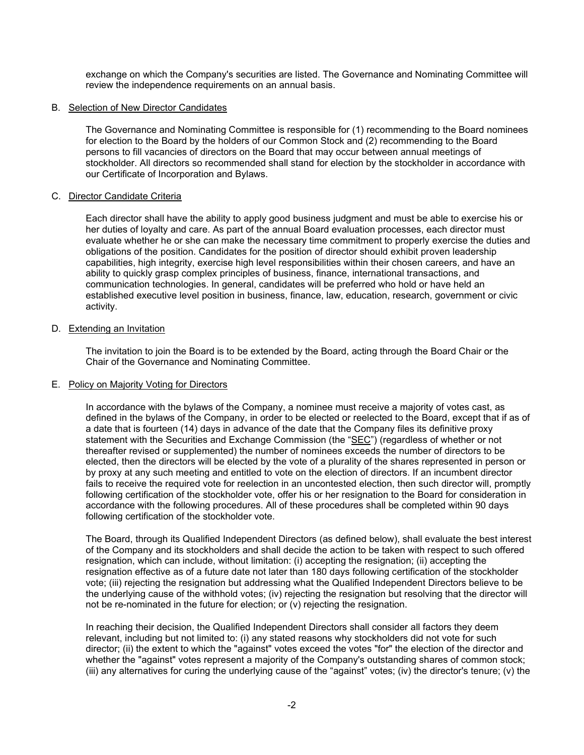exchange on which the Company's securities are listed. The Governance and Nominating Committee will review the independence requirements on an annual basis.

# B. Selection of New Director Candidates

The Governance and Nominating Committee is responsible for (1) recommending to the Board nominees for election to the Board by the holders of our Common Stock and (2) recommending to the Board persons to fill vacancies of directors on the Board that may occur between annual meetings of stockholder. All directors so recommended shall stand for election by the stockholder in accordance with our Certificate of Incorporation and Bylaws.

# C. Director Candidate Criteria

Each director shall have the ability to apply good business judgment and must be able to exercise his or her duties of loyalty and care. As part of the annual Board evaluation processes, each director must evaluate whether he or she can make the necessary time commitment to properly exercise the duties and obligations of the position. Candidates for the position of director should exhibit proven leadership capabilities, high integrity, exercise high level responsibilities within their chosen careers, and have an ability to quickly grasp complex principles of business, finance, international transactions, and communication technologies. In general, candidates will be preferred who hold or have held an established executive level position in business, finance, law, education, research, government or civic activity.

# D. Extending an Invitation

The invitation to join the Board is to be extended by the Board, acting through the Board Chair or the Chair of the Governance and Nominating Committee.

### E. Policy on Majority Voting for Directors

In accordance with the bylaws of the Company, a nominee must receive a majority of votes cast, as defined in the bylaws of the Company, in order to be elected or reelected to the Board, except that if as of a date that is fourteen (14) days in advance of the date that the Company files its definitive proxy statement with the Securities and Exchange Commission (the "SEC") (regardless of whether or not thereafter revised or supplemented) the number of nominees exceeds the number of directors to be elected, then the directors will be elected by the vote of a plurality of the shares represented in person or by proxy at any such meeting and entitled to vote on the election of directors. If an incumbent director fails to receive the required vote for reelection in an uncontested election, then such director will, promptly following certification of the stockholder vote, offer his or her resignation to the Board for consideration in accordance with the following procedures. All of these procedures shall be completed within 90 days following certification of the stockholder vote.

The Board, through its Qualified Independent Directors (as defined below), shall evaluate the best interest of the Company and its stockholders and shall decide the action to be taken with respect to such offered resignation, which can include, without limitation: (i) accepting the resignation; (ii) accepting the resignation effective as of a future date not later than 180 days following certification of the stockholder vote; (iii) rejecting the resignation but addressing what the Qualified Independent Directors believe to be the underlying cause of the withhold votes; (iv) rejecting the resignation but resolving that the director will not be re-nominated in the future for election; or (v) rejecting the resignation.

In reaching their decision, the Qualified Independent Directors shall consider all factors they deem relevant, including but not limited to: (i) any stated reasons why stockholders did not vote for such director; (ii) the extent to which the "against" votes exceed the votes "for" the election of the director and whether the "against" votes represent a majority of the Company's outstanding shares of common stock; (iii) any alternatives for curing the underlying cause of the "against" votes; (iv) the director's tenure; (v) the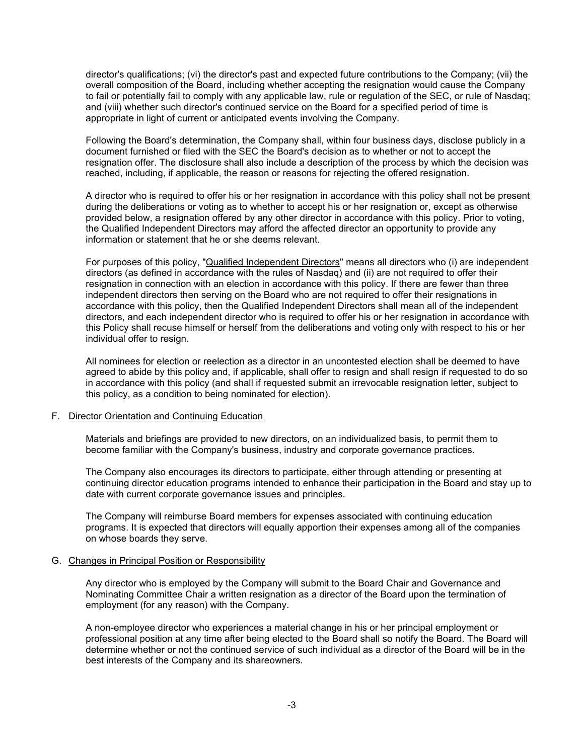director's qualifications; (vi) the director's past and expected future contributions to the Company; (vii) the overall composition of the Board, including whether accepting the resignation would cause the Company to fail or potentially fail to comply with any applicable law, rule or regulation of the SEC, or rule of Nasdaq; and (viii) whether such director's continued service on the Board for a specified period of time is appropriate in light of current or anticipated events involving the Company.

Following the Board's determination, the Company shall, within four business days, disclose publicly in a document furnished or filed with the SEC the Board's decision as to whether or not to accept the resignation offer. The disclosure shall also include a description of the process by which the decision was reached, including, if applicable, the reason or reasons for rejecting the offered resignation.

A director who is required to offer his or her resignation in accordance with this policy shall not be present during the deliberations or voting as to whether to accept his or her resignation or, except as otherwise provided below, a resignation offered by any other director in accordance with this policy. Prior to voting, the Qualified Independent Directors may afford the affected director an opportunity to provide any information or statement that he or she deems relevant.

For purposes of this policy, "Qualified Independent Directors" means all directors who (i) are independent directors (as defined in accordance with the rules of Nasdaq) and (ii) are not required to offer their resignation in connection with an election in accordance with this policy. If there are fewer than three independent directors then serving on the Board who are not required to offer their resignations in accordance with this policy, then the Qualified Independent Directors shall mean all of the independent directors, and each independent director who is required to offer his or her resignation in accordance with this Policy shall recuse himself or herself from the deliberations and voting only with respect to his or her individual offer to resign.

All nominees for election or reelection as a director in an uncontested election shall be deemed to have agreed to abide by this policy and, if applicable, shall offer to resign and shall resign if requested to do so in accordance with this policy (and shall if requested submit an irrevocable resignation letter, subject to this policy, as a condition to being nominated for election).

### F. Director Orientation and Continuing Education

Materials and briefings are provided to new directors, on an individualized basis, to permit them to become familiar with the Company's business, industry and corporate governance practices.

The Company also encourages its directors to participate, either through attending or presenting at continuing director education programs intended to enhance their participation in the Board and stay up to date with current corporate governance issues and principles.

The Company will reimburse Board members for expenses associated with continuing education programs. It is expected that directors will equally apportion their expenses among all of the companies on whose boards they serve.

### G. Changes in Principal Position or Responsibility

Any director who is employed by the Company will submit to the Board Chair and Governance and Nominating Committee Chair a written resignation as a director of the Board upon the termination of employment (for any reason) with the Company.

A non-employee director who experiences a material change in his or her principal employment or professional position at any time after being elected to the Board shall so notify the Board. The Board will determine whether or not the continued service of such individual as a director of the Board will be in the best interests of the Company and its shareowners.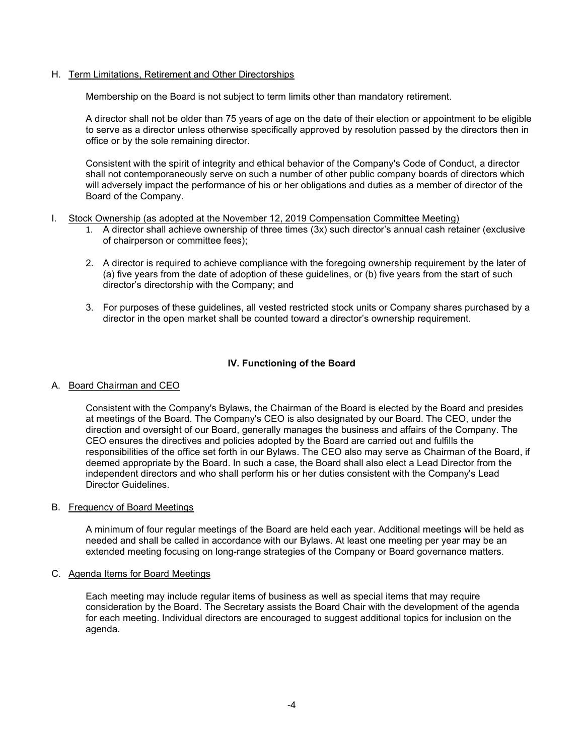# H. Term Limitations, Retirement and Other Directorships

Membership on the Board is not subject to term limits other than mandatory retirement.

A director shall not be older than 75 years of age on the date of their election or appointment to be eligible to serve as a director unless otherwise specifically approved by resolution passed by the directors then in office or by the sole remaining director.

Consistent with the spirit of integrity and ethical behavior of the Company's Code of Conduct, a director shall not contemporaneously serve on such a number of other public company boards of directors which will adversely impact the performance of his or her obligations and duties as a member of director of the Board of the Company.

- I. Stock Ownership (as adopted at the November 12, 2019 Compensation Committee Meeting)
	- 1. A director shall achieve ownership of three times (3x) such director's annual cash retainer (exclusive of chairperson or committee fees);
	- 2. A director is required to achieve compliance with the foregoing ownership requirement by the later of (a) five years from the date of adoption of these guidelines, or (b) five years from the start of such director's directorship with the Company; and
	- 3. For purposes of these guidelines, all vested restricted stock units or Company shares purchased by a director in the open market shall be counted toward a director's ownership requirement.

# **IV. Functioning of the Board**

### A. Board Chairman and CEO

Consistent with the Company's Bylaws, the Chairman of the Board is elected by the Board and presides at meetings of the Board. The Company's CEO is also designated by our Board. The CEO, under the direction and oversight of our Board, generally manages the business and affairs of the Company. The CEO ensures the directives and policies adopted by the Board are carried out and fulfills the responsibilities of the office set forth in our Bylaws. The CEO also may serve as Chairman of the Board, if deemed appropriate by the Board. In such a case, the Board shall also elect a Lead Director from the independent directors and who shall perform his or her duties consistent with the Company's Lead Director Guidelines.

### B. Frequency of Board Meetings

A minimum of four regular meetings of the Board are held each year. Additional meetings will be held as needed and shall be called in accordance with our Bylaws. At least one meeting per year may be an extended meeting focusing on long-range strategies of the Company or Board governance matters.

### C. Agenda Items for Board Meetings

Each meeting may include regular items of business as well as special items that may require consideration by the Board. The Secretary assists the Board Chair with the development of the agenda for each meeting. Individual directors are encouraged to suggest additional topics for inclusion on the agenda.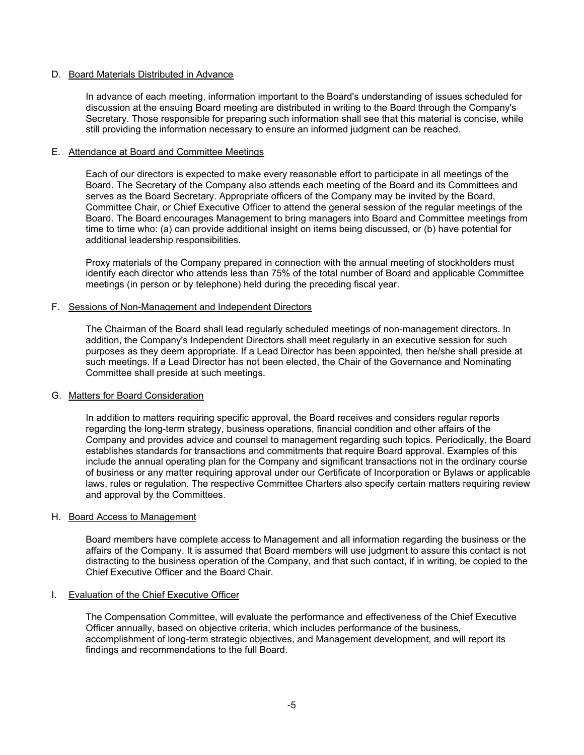### D. Board Materials Distributed in Advance

In advance of each meeting, information important to the Board's understanding of issues scheduled for discussion at the ensuing Board meeting are distributed in writing to the Board through the Company's Secretary. Those responsible for preparing such information shall see that this material is concise, while still providing the information necessary to ensure an informed judgment can be reached.

### E. Attendance at Board and Committee Meetings

Each of our directors is expected to make every reasonable effort to participate in all meetings of the Board. The Secretary of the Company also attends each meeting of the Board and its Committees and serves as the Board Secretary. Appropriate officers of the Company may be invited by the Board, Committee Chair, or Chief Executive Officer to attend the general session of the regular meetings of the Board. The Board encourages Management to bring managers into Board and Committee meetings from time to time who: (a) can provide additional insight on items being discussed, or (b) have potential for additional leadership responsibilities.

Proxy materials of the Company prepared in connection with the annual meeting of stockholders must identify each director who attends less than 75% of the total number of Board and applicable Committee meetings (in person or by telephone) held during the preceding fiscal year.

#### F. Sessions of Non-Management and Independent Directors

The Chairman of the Board shall lead regularly scheduled meetings of non-management directors. In addition, the Company's Independent Directors shall meet regularly in an executive session for such purposes as they deem appropriate. If a Lead Director has been appointed, then he/she shall preside at such meetings. If a Lead Director has not been elected, the Chair of the Governance and Nominating Committee shall preside at such meetings.

### G. Matters for Board Consideration

In addition to matters requiring specific approval, the Board receives and considers regular reports regarding the long-term strategy, business operations, financial condition and other affairs of the Company and provides advice and counsel to management regarding such topics. Periodically, the Board establishes standards for transactions and commitments that require Board approval. Examples of this include the annual operating plan for the Company and significant transactions not in the ordinary course of business or any matter requiring approval under our Certificate of Incorporation or Bylaws or applicable laws, rules or regulation. The respective Committee Charters also specify certain matters requiring review and approval by the Committees.

#### H. Board Access to Management

Board members have complete access to Management and all information regarding the business or the affairs of the Company. It is assumed that Board members will use judgment to assure this contact is not distracting to the business operation of the Company, and that such contact, if in writing, be copied to the Chief Executive Officer and the Board Chair.

### I. Evaluation of the Chief Executive Officer

The Compensation Committee, will evaluate the performance and effectiveness of the Chief Executive Officer annually, based on objective criteria, which includes performance of the business, accomplishment of long-term strategic objectives, and Management development, and will report its findings and recommendations to the full Board.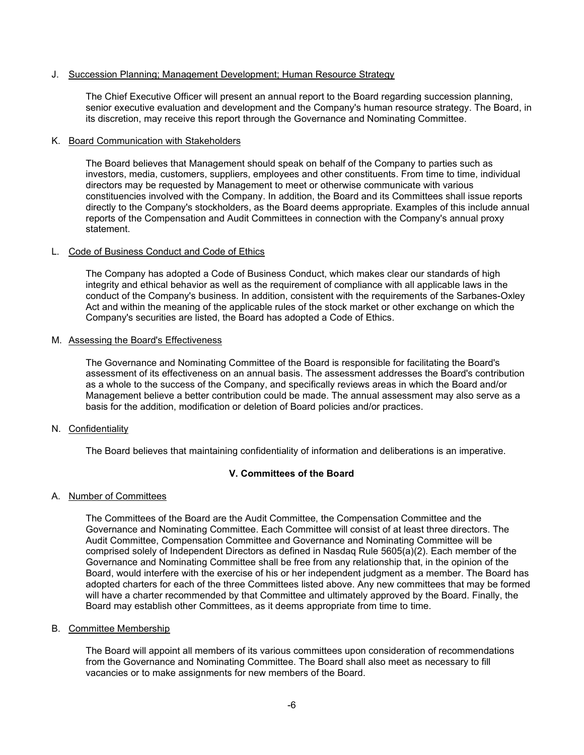# J. Succession Planning; Management Development; Human Resource Strategy

The Chief Executive Officer will present an annual report to the Board regarding succession planning, senior executive evaluation and development and the Company's human resource strategy. The Board, in its discretion, may receive this report through the Governance and Nominating Committee.

### K. Board Communication with Stakeholders

The Board believes that Management should speak on behalf of the Company to parties such as investors, media, customers, suppliers, employees and other constituents. From time to time, individual directors may be requested by Management to meet or otherwise communicate with various constituencies involved with the Company. In addition, the Board and its Committees shall issue reports directly to the Company's stockholders, as the Board deems appropriate. Examples of this include annual reports of the Compensation and Audit Committees in connection with the Company's annual proxy statement.

# L. Code of Business Conduct and Code of Ethics

The Company has adopted a Code of Business Conduct, which makes clear our standards of high integrity and ethical behavior as well as the requirement of compliance with all applicable laws in the conduct of the Company's business. In addition, consistent with the requirements of the Sarbanes-Oxley Act and within the meaning of the applicable rules of the stock market or other exchange on which the Company's securities are listed, the Board has adopted a Code of Ethics.

### M. Assessing the Board's Effectiveness

The Governance and Nominating Committee of the Board is responsible for facilitating the Board's assessment of its effectiveness on an annual basis. The assessment addresses the Board's contribution as a whole to the success of the Company, and specifically reviews areas in which the Board and/or Management believe a better contribution could be made. The annual assessment may also serve as a basis for the addition, modification or deletion of Board policies and/or practices.

### N. Confidentiality

The Board believes that maintaining confidentiality of information and deliberations is an imperative.

# **V. Committees of the Board**

# A. Number of Committees

The Committees of the Board are the Audit Committee, the Compensation Committee and the Governance and Nominating Committee. Each Committee will consist of at least three directors. The Audit Committee, Compensation Committee and Governance and Nominating Committee will be comprised solely of Independent Directors as defined in Nasdaq Rule 5605(a)(2). Each member of the Governance and Nominating Committee shall be free from any relationship that, in the opinion of the Board, would interfere with the exercise of his or her independent judgment as a member. The Board has adopted charters for each of the three Committees listed above. Any new committees that may be formed will have a charter recommended by that Committee and ultimately approved by the Board. Finally, the Board may establish other Committees, as it deems appropriate from time to time.

# B. Committee Membership

The Board will appoint all members of its various committees upon consideration of recommendations from the Governance and Nominating Committee. The Board shall also meet as necessary to fill vacancies or to make assignments for new members of the Board.